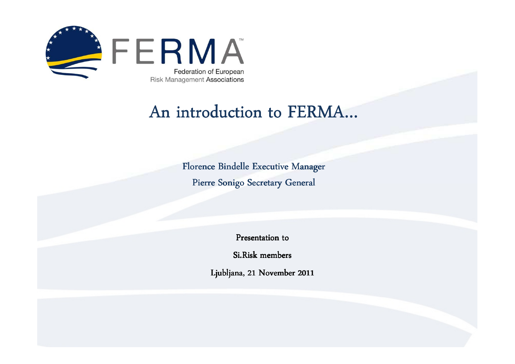

### An introduction to FERMA…

Florence Bindelle Bindelle Executive Manager Pierre Sonigo Secretary General

Presentation to Presentation to

Si.Risk members

Ljubljana, 21 November 2011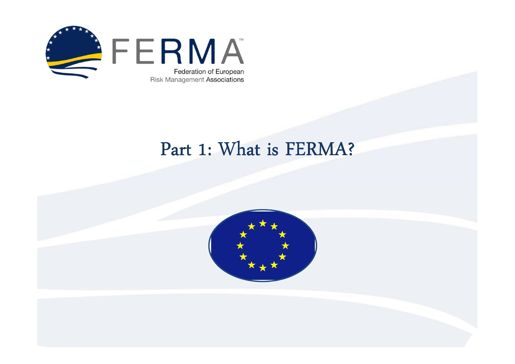

### Part 1: What is FERMA?

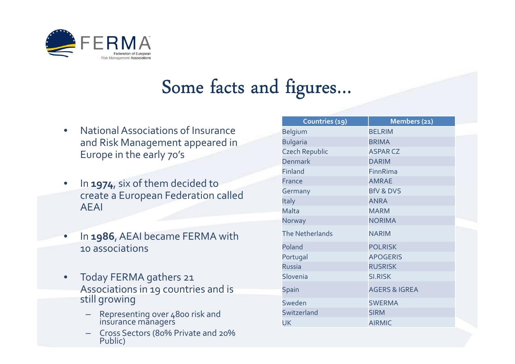

# Some facts and figures…

- $\bullet$  National Associations of Insurance and Risk Management appeared in Europe in the early 70's
- $\bullet$  In **1974**, six of them decided to create a European Federation called AEAI
- • In **1986**, AEAI became FERMA with 10 associations
- $\bullet$  Today FERMA gathers 21 Associations in 19 countries and is still growing
	- Representing over 4800 risk and insurance managers
	- Cross Sectors (80% Private and 20% Public)

| Countries (19)        | Members (21)             |
|-----------------------|--------------------------|
| Belgium               | <b>BELRIM</b>            |
| <b>Bulgaria</b>       | <b>BRIMA</b>             |
| <b>Czech Republic</b> | <b>ASPAR CZ</b>          |
| Denmark               | <b>DARIM</b>             |
| <b>Finland</b>        | <b>FinnRima</b>          |
| France                | <b>AMRAE</b>             |
| Germany               | <b>BfV &amp; DVS</b>     |
| Italy                 | <b>ANRA</b>              |
| Malta                 | <b>MARM</b>              |
| Norway                | <b>NORIMA</b>            |
| The Netherlands       | <b>NARIM</b>             |
| Poland                | <b>POLRISK</b>           |
| Portugal              | <b>APOGERIS</b>          |
| <b>Russia</b>         | <b>RUSRISK</b>           |
| Slovenia              | <b>SI.RISK</b>           |
| Spain                 | <b>AGERS &amp; IGREA</b> |
| Sweden                | <b>SWERMA</b>            |
| Switzerland           | <b>SIRM</b>              |
| UK                    | <b>AIRMIC</b>            |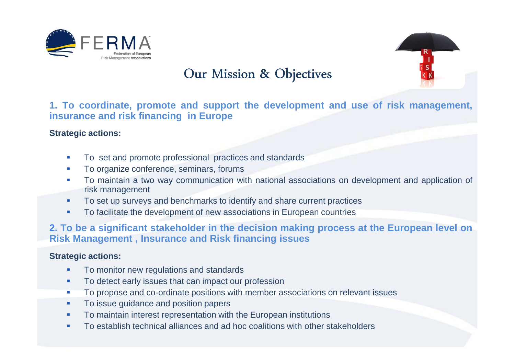



# Our Mission & Objectives

1. To coordinate, promote and support the development and use of risk management, **insurance and risk financing in Europe**

#### **Strategic actions:**

- $\mathcal{L}_{\mathcal{A}}$ To set and promote professional practices and standards
- $\mathcal{L}_{\mathcal{A}}$ To organize conference, seminars, forums
- To maintain <sup>a</sup> two way communication with national associations on development and application of г risk management
- $\mathbf{r}$ To set up surveys and benchmarks to identify and share current practices
- $\mathcal{L}_{\mathcal{A}}$ To facilitate the development of new associations in European countries

#### 2. To be a significant stakeholder in the decision making process at the European level on **Risk Management , Insurance and Risk financing issues**

#### **Strategic actions:**

- $\mathcal{L}_{\mathcal{A}}$ To monitor new regulations and standards
- **To detect early issues that can impact our profession**  $\mathbf{r}$
- **To propose and co-ordinate positions with member associations on relevant issues** ×
- $\mathcal{L}_{\mathcal{A}}$ To issue guidance and position papers
- **To maintain interest representation with the European institutions**  $\mathbf{r}$
- **To establish technical alliances and ad hoc coalitions with other stakeholders** m.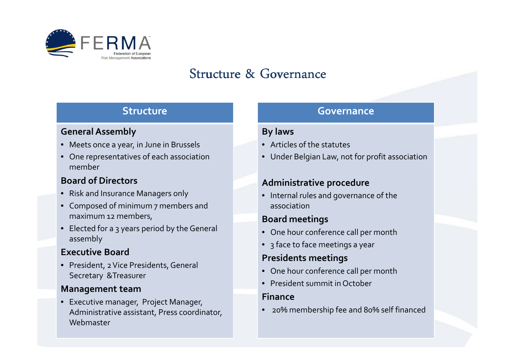

# Structure & Governance

#### **Structure**

#### **General Assembly**

- Meets once a year, in June in Brussels
- One representatives of each association member

#### **Board of Directors**

- Risk and Insurance Managers only
- Composed of minimum 7 members and maximum 12 members,
- Elected for a 3 years period by the General assembly

#### **Executive Board**

• President, 2 Vice Presidents, General Secretary &Treasurer

#### **Management team**

• Executive manager, Project Manager, Administrative assistant, Press coordinator, Webmaster

#### **Governance**

#### **By laws**

- Articles of the statutes
- Under Belgian Law, not for profit association

#### **Administrative procedure**

• Internal rules and governance of the association

#### **Board meetings**

- One hour conference call per month
- $\bullet~~$  3 face to face meetings a year

#### **Presidents meetings**

- One hour conference call per month
- President summit in October

#### **Finance**

• 20% membership fee and 80% self financed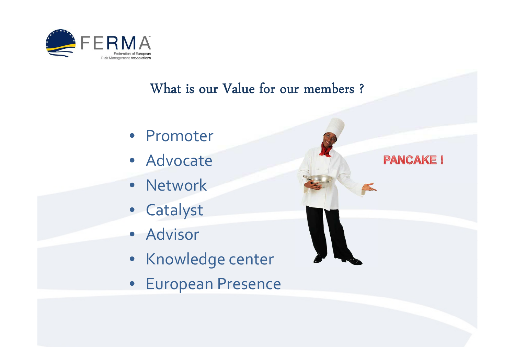

### What is our Value for our members ?

**PANCAKE!** 

- Promoter
- Advocate
- Network
- Catalyst
- Advisor
- Knowledge center
- European Presence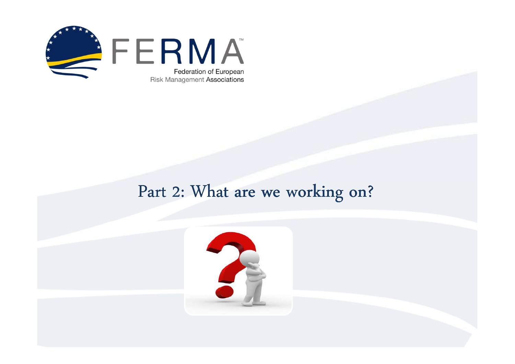

### Part 2: What are we working on?

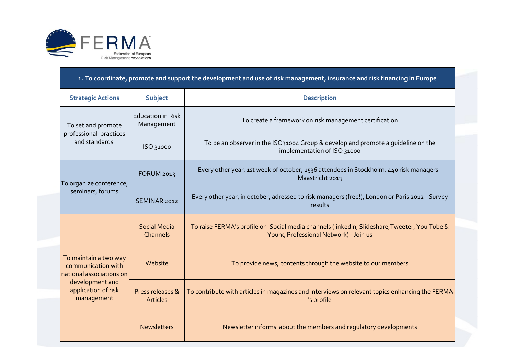

**1. To coordinate, promote and support the development and use of risk management, insurance and risk financing in Europe** 

| <b>Strategic Actions</b>                                                                                                        | Subject                                | <b>Description</b>                                                                                                                    |  |
|---------------------------------------------------------------------------------------------------------------------------------|----------------------------------------|---------------------------------------------------------------------------------------------------------------------------------------|--|
| To set and promote<br>professional practices<br>and standards                                                                   | <b>Education in Risk</b><br>Management | To create a framework on risk management certification                                                                                |  |
|                                                                                                                                 | ISO 31000                              | To be an observer in the ISO31004 Group & develop and promote a quideline on the<br>implementation of ISO 31000                       |  |
| To organize conference,<br>seminars, forums                                                                                     | <b>FORUM 2013</b>                      | Every other year, 1st week of october, 1536 attendees in Stockholm, 440 risk managers -<br>Maastricht 2013                            |  |
|                                                                                                                                 | SEMINAR 2012                           | Every other year, in october, adressed to risk managers (free!), London or Paris 2012 - Survey<br>results                             |  |
| To maintain a two way<br>communication with<br>national associations on<br>development and<br>application of risk<br>management | <b>Social Media</b><br>Channels        | To raise FERMA's profile on Social media channels (linkedin, Slideshare, Tweeter, You Tube &<br>Young Professional Network) - Join us |  |
|                                                                                                                                 | Website                                | To provide news, contents through the website to our members                                                                          |  |
|                                                                                                                                 | Press releases &<br><b>Articles</b>    | To contribute with articles in magazines and interviews on relevant topics enhancing the FERMA<br>'s profile                          |  |
|                                                                                                                                 | <b>Newsletters</b>                     | Newsletter informs about the members and regulatory developments                                                                      |  |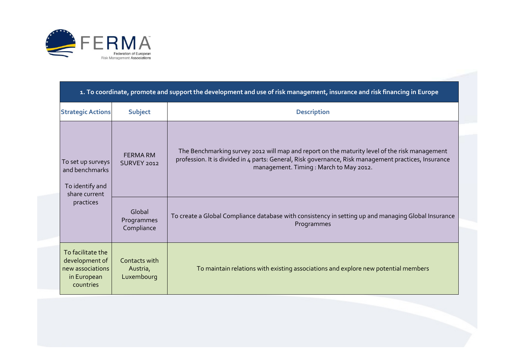

| 1. To coordinate, promote and support the development and use of risk management, insurance and risk financing in Europe |                                         |                                                                                                                                                                                                                                                 |  |
|--------------------------------------------------------------------------------------------------------------------------|-----------------------------------------|-------------------------------------------------------------------------------------------------------------------------------------------------------------------------------------------------------------------------------------------------|--|
| <b>Strategic Actions</b>                                                                                                 | <b>Subject</b>                          | <b>Description</b>                                                                                                                                                                                                                              |  |
| To set up surveys<br>and benchmarks<br>To identify and<br>share current                                                  | <b>FERMARM</b><br>SURVEY 2012           | The Benchmarking survey 2012 will map and report on the maturity level of the risk management<br>profession. It is divided in 4 parts: General, Risk governance, Risk management practices, Insurance<br>management. Timing: March to May 2012. |  |
| practices<br>Global                                                                                                      | Programmes<br>Compliance                | To create a Global Compliance database with consistency in setting up and managing Global Insurance<br>Programmes                                                                                                                               |  |
| To facilitate the<br>development of<br>new associations<br>in European<br>countries                                      | Contacts with<br>Austria,<br>Luxembourg | To maintain relations with existing associations and explore new potential members                                                                                                                                                              |  |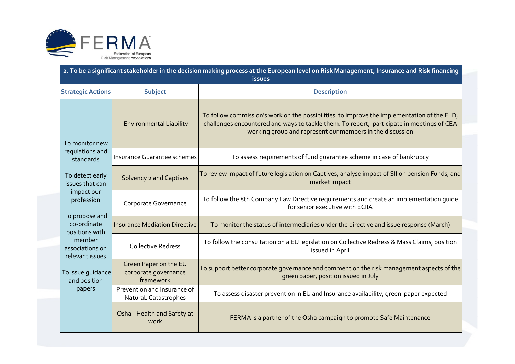

| 2. To be a significant stakeholder in the decision making process at the European level on Risk Management, Insurance and Risk financing<br><b>issues</b>                                                                                                          |                                                            |                                                                                                                                                                                                                                                      |  |  |  |
|--------------------------------------------------------------------------------------------------------------------------------------------------------------------------------------------------------------------------------------------------------------------|------------------------------------------------------------|------------------------------------------------------------------------------------------------------------------------------------------------------------------------------------------------------------------------------------------------------|--|--|--|
| <b>Strategic Actions</b>                                                                                                                                                                                                                                           | <b>Subject</b>                                             | <b>Description</b>                                                                                                                                                                                                                                   |  |  |  |
| To monitor new<br>regulations and<br>standards<br>To detect early<br>issues that can<br>impact our<br>profession<br>To propose and<br>co-ordinate<br>positions with<br>member<br>associations on<br>relevant issues<br>To issue guidance<br>and position<br>papers | <b>Environmental Liability</b>                             | To follow commission's work on the possibilities to improve the implementation of the ELD,<br>challenges encountered and ways to tackle them. To report, participate in meetings of CEA<br>working group and represent our members in the discussion |  |  |  |
|                                                                                                                                                                                                                                                                    | Insurance Guarantee schemes                                | To assess requirements of fund quarantee scheme in case of bankrupcy                                                                                                                                                                                 |  |  |  |
|                                                                                                                                                                                                                                                                    | <b>Solvency 2 and Captives</b>                             | To review impact of future legislation on Captives, analyse impact of SII on pension Funds, and<br>market impact                                                                                                                                     |  |  |  |
|                                                                                                                                                                                                                                                                    | Corporate Governance                                       | To follow the 8th Company Law Directive requirements and create an implementation guide<br>for senior executive with ECIIA                                                                                                                           |  |  |  |
|                                                                                                                                                                                                                                                                    | <b>Insurance Mediation Directive</b>                       | To monitor the status of intermediaries under the directive and issue response (March)                                                                                                                                                               |  |  |  |
|                                                                                                                                                                                                                                                                    | <b>Collective Redress</b>                                  | To follow the consultation on a EU legislation on Collective Redress & Mass Claims, position<br>issued in April                                                                                                                                      |  |  |  |
|                                                                                                                                                                                                                                                                    | Green Paper on the EU<br>corporate governance<br>framework | To support better corporate governance and comment on the risk management aspects of the<br>green paper, position issued in July                                                                                                                     |  |  |  |
|                                                                                                                                                                                                                                                                    | Prevention and Insurance of<br>NaturaL Catastrophes        | To assess disaster prevention in EU and Insurance availability, green paper expected                                                                                                                                                                 |  |  |  |
|                                                                                                                                                                                                                                                                    | Osha - Health and Safety at<br>work                        | FERMA is a partner of the Osha campaign to promote Safe Maintenance                                                                                                                                                                                  |  |  |  |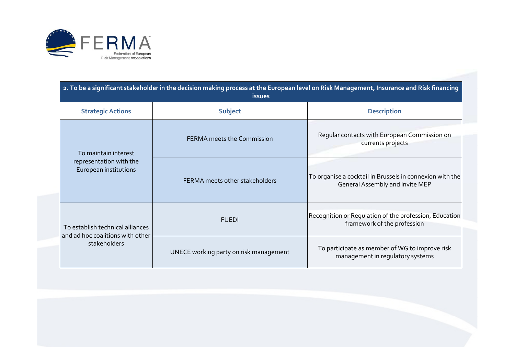

| 2. To be a significant stakeholder in the decision making process at the European level on Risk Management, Insurance and Risk financing<br><i>issues</i> |                                        |                                                                                             |  |  |
|-----------------------------------------------------------------------------------------------------------------------------------------------------------|----------------------------------------|---------------------------------------------------------------------------------------------|--|--|
| <b>Strategic Actions</b>                                                                                                                                  | <b>Subject</b>                         | <b>Description</b>                                                                          |  |  |
| To maintain interest<br>representation with the<br>European institutions                                                                                  | <b>FERMA</b> meets the Commission      | Regular contacts with European Commission on<br>currents projects                           |  |  |
|                                                                                                                                                           | <b>FERMA</b> meets other stakeholders  | To organise a cocktail in Brussels in connexion with the<br>General Assembly and invite MEP |  |  |
| To establish technical alliances<br>and ad hoc coalitions with other<br>stakeholders                                                                      | <b>FUEDI</b>                           | Recognition or Regulation of the profession, Education<br>framework of the profession       |  |  |
|                                                                                                                                                           | UNECE working party on risk management | To participate as member of WG to improve risk<br>management in regulatory systems          |  |  |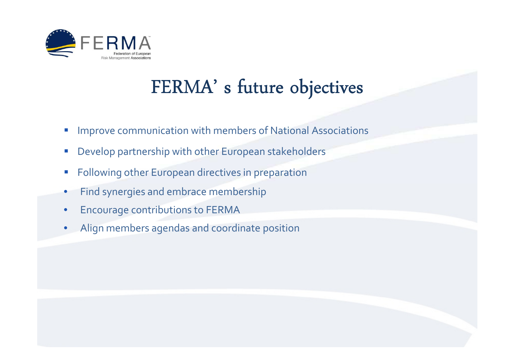

# FERMA' s future objectives

- $\mathbb{R}^n$ Improve communication with members of National Associations
- $\mathcal{C}$ Develop partnership with other European stakeholders
- $\mathbb{R}^2$ Following other European directives in preparation
- •Find synergies and embrace membership
- $\bullet$ Encourage contributions to FERMA
- $\bullet$ Align members agendas and coordinate position